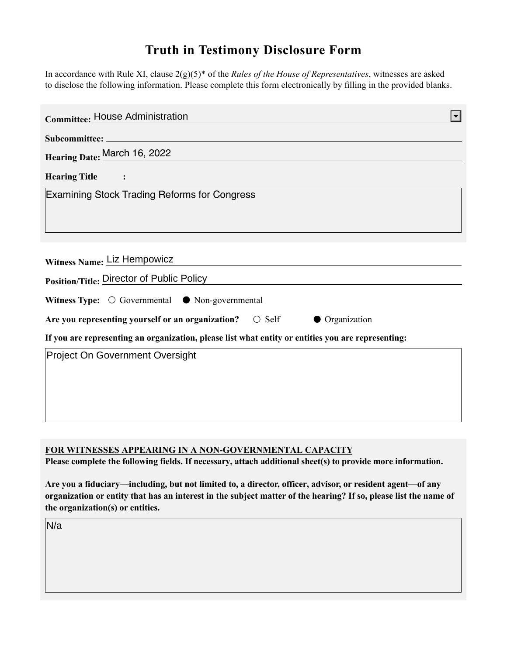## **Truth in Testimony Disclosure Form**

In accordance with Rule XI, clause 2(g)(5)\* of the *Rules of the House of Representatives*, witnesses are asked to disclose the following information. Please complete this form electronically by filling in the provided blanks.

| <b>Committee: House Administration</b>                                                                                                                                                                                             |
|------------------------------------------------------------------------------------------------------------------------------------------------------------------------------------------------------------------------------------|
|                                                                                                                                                                                                                                    |
| Hearing Date: March 16, 2022                                                                                                                                                                                                       |
| Hearing Title :                                                                                                                                                                                                                    |
| <b>Examining Stock Trading Reforms for Congress</b>                                                                                                                                                                                |
|                                                                                                                                                                                                                                    |
|                                                                                                                                                                                                                                    |
| Witness Name: Liz Hempowicz                                                                                                                                                                                                        |
| <b>Position/Title: Director of Public Policy Contract Contract Contract Contract Contract Contract Contract Contract Contract Contract Contract Contract Contract Contract Contract Contract Contract Contract Contract Contra</b> |
| Witness Type: $\bigcirc$ Governmental $\bullet$ Non-governmental                                                                                                                                                                   |
| Are you representing yourself or an organization? $\circ$ Self<br>• Organization                                                                                                                                                   |
| If you are representing an organization, please list what entity or entities you are representing:                                                                                                                                 |
| <b>Project On Government Oversight</b>                                                                                                                                                                                             |
|                                                                                                                                                                                                                                    |
|                                                                                                                                                                                                                                    |
|                                                                                                                                                                                                                                    |

## **FOR WITNESSES APPEARING IN A NON-GOVERNMENTAL CAPACITY**

**Please complete the following fields. If necessary, attach additional sheet(s) to provide more information.**

**Are you a fiduciary—including, but not limited to, a director, officer, advisor, or resident agent—of any organization or entity that has an interest in the subject matter of the hearing? If so, please list the name of the organization(s) or entities.**

N/a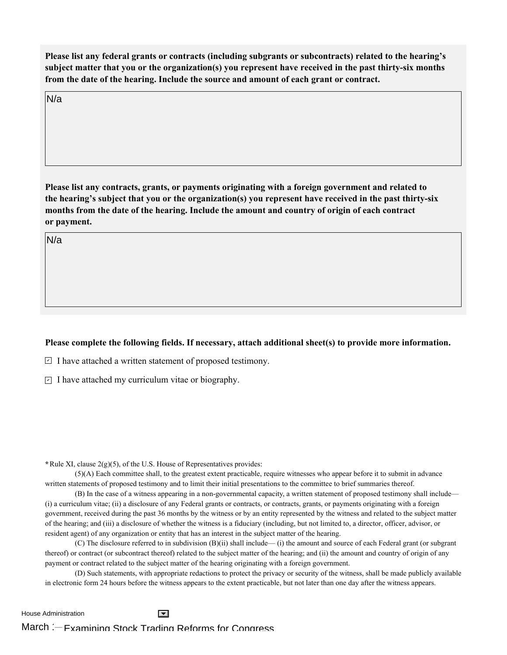**Please list any federal grants or contracts (including subgrants or subcontracts) related to the hearing's subject matter that you or the organization(s) you represent have received in the past thirty-six months from the date of the hearing. Include the source and amount of each grant or contract.** 

N/a

**Please list any contracts, grants, or payments originating with a foreign government and related to the hearing's subject that you or the organization(s) you represent have received in the past thirty-six months from the date of the hearing. Include the amount and country of origin of each contract or payment.** 

N/a

## **Please complete the following fields. If necessary, attach additional sheet(s) to provide more information.**

 $\exists$  I have attached a written statement of proposed testimony.

 $\subseteq$  I have attached my curriculum vitae or biography.

**\***Rule XI, clause 2(g)(5), of the U.S. House of Representatives provides:

(5)(A) Each committee shall, to the greatest extent practicable, require witnesses who appear before it to submit in advance written statements of proposed testimony and to limit their initial presentations to the committee to brief summaries thereof.

(B) In the case of a witness appearing in a non-governmental capacity, a written statement of proposed testimony shall include— (i) a curriculum vitae; (ii) a disclosure of any Federal grants or contracts, or contracts, grants, or payments originating with a foreign government, received during the past 36 months by the witness or by an entity represented by the witness and related to the subject matter of the hearing; and (iii) a disclosure of whether the witness is a fiduciary (including, but not limited to, a director, officer, advisor, or resident agent) of any organization or entity that has an interest in the subject matter of the hearing.

(C) The disclosure referred to in subdivision (B)(ii) shall include— (i) the amount and source of each Federal grant (or subgrant thereof) or contract (or subcontract thereof) related to the subject matter of the hearing; and (ii) the amount and country of origin of any payment or contract related to the subject matter of the hearing originating with a foreign government.

(D) Such statements, with appropriate redactions to protect the privacy or security of the witness, shall be made publicly available in electronic form 24 hours before the witness appears to the extent practicable, but not later than one day after the witness appears.